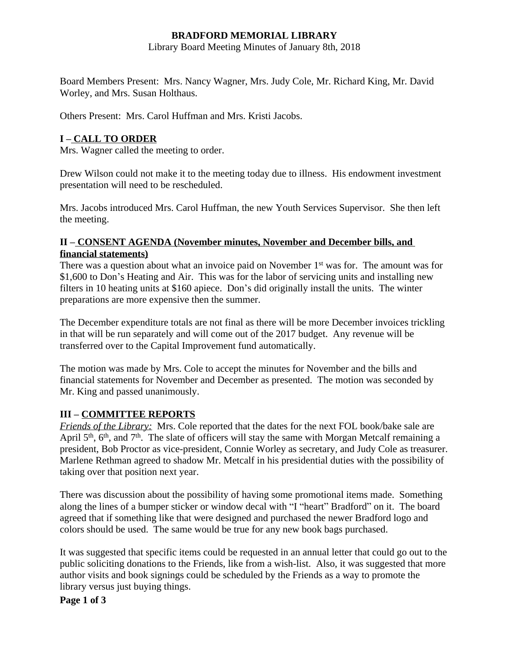### **BRADFORD MEMORIAL LIBRARY**

Library Board Meeting Minutes of January 8th, 2018

Board Members Present: Mrs. Nancy Wagner, Mrs. Judy Cole, Mr. Richard King, Mr. David Worley, and Mrs. Susan Holthaus.

Others Present: Mrs. Carol Huffman and Mrs. Kristi Jacobs.

# **I – CALL TO ORDER**

Mrs. Wagner called the meeting to order.

Drew Wilson could not make it to the meeting today due to illness. His endowment investment presentation will need to be rescheduled.

Mrs. Jacobs introduced Mrs. Carol Huffman, the new Youth Services Supervisor. She then left the meeting.

#### **II – CONSENT AGENDA (November minutes, November and December bills, and financial statements)**

There was a question about what an invoice paid on November 1<sup>st</sup> was for. The amount was for \$1,600 to Don's Heating and Air. This was for the labor of servicing units and installing new filters in 10 heating units at \$160 apiece. Don's did originally install the units. The winter preparations are more expensive then the summer.

The December expenditure totals are not final as there will be more December invoices trickling in that will be run separately and will come out of the 2017 budget. Any revenue will be transferred over to the Capital Improvement fund automatically.

The motion was made by Mrs. Cole to accept the minutes for November and the bills and financial statements for November and December as presented. The motion was seconded by Mr. King and passed unanimously.

### **III – COMMITTEE REPORTS**

*Friends of the Library:* Mrs. Cole reported that the dates for the next FOL book/bake sale are April 5<sup>th</sup>, 6<sup>th</sup>, and 7<sup>th</sup>. The slate of officers will stay the same with Morgan Metcalf remaining a president, Bob Proctor as vice-president, Connie Worley as secretary, and Judy Cole as treasurer. Marlene Rethman agreed to shadow Mr. Metcalf in his presidential duties with the possibility of taking over that position next year.

There was discussion about the possibility of having some promotional items made. Something along the lines of a bumper sticker or window decal with "I "heart" Bradford" on it. The board agreed that if something like that were designed and purchased the newer Bradford logo and colors should be used. The same would be true for any new book bags purchased.

It was suggested that specific items could be requested in an annual letter that could go out to the public soliciting donations to the Friends, like from a wish-list. Also, it was suggested that more author visits and book signings could be scheduled by the Friends as a way to promote the library versus just buying things.

**Page 1 of 3**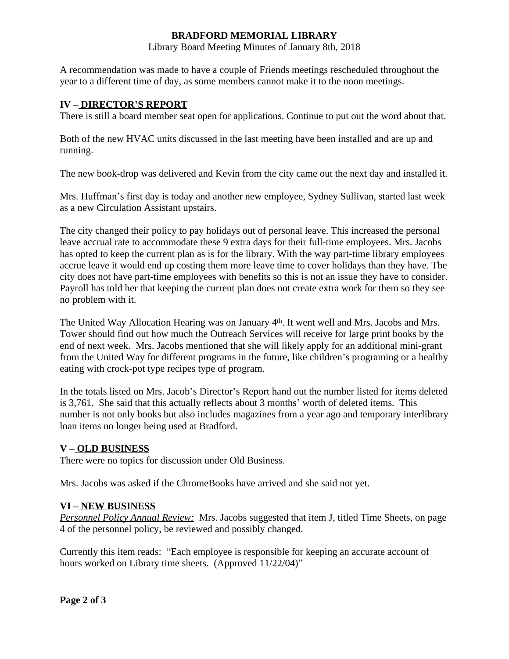## **BRADFORD MEMORIAL LIBRARY**

Library Board Meeting Minutes of January 8th, 2018

A recommendation was made to have a couple of Friends meetings rescheduled throughout the year to a different time of day, as some members cannot make it to the noon meetings.

#### **IV – DIRECTOR'S REPORT**

There is still a board member seat open for applications. Continue to put out the word about that.

Both of the new HVAC units discussed in the last meeting have been installed and are up and running.

The new book-drop was delivered and Kevin from the city came out the next day and installed it.

Mrs. Huffman's first day is today and another new employee, Sydney Sullivan, started last week as a new Circulation Assistant upstairs.

The city changed their policy to pay holidays out of personal leave. This increased the personal leave accrual rate to accommodate these 9 extra days for their full-time employees. Mrs. Jacobs has opted to keep the current plan as is for the library. With the way part-time library employees accrue leave it would end up costing them more leave time to cover holidays than they have. The city does not have part-time employees with benefits so this is not an issue they have to consider. Payroll has told her that keeping the current plan does not create extra work for them so they see no problem with it.

The United Way Allocation Hearing was on January 4<sup>th</sup>. It went well and Mrs. Jacobs and Mrs. Tower should find out how much the Outreach Services will receive for large print books by the end of next week. Mrs. Jacobs mentioned that she will likely apply for an additional mini-grant from the United Way for different programs in the future, like children's programing or a healthy eating with crock-pot type recipes type of program.

In the totals listed on Mrs. Jacob's Director's Report hand out the number listed for items deleted is 3,761. She said that this actually reflects about 3 months' worth of deleted items. This number is not only books but also includes magazines from a year ago and temporary interlibrary loan items no longer being used at Bradford.

### **V – OLD BUSINESS**

There were no topics for discussion under Old Business.

Mrs. Jacobs was asked if the ChromeBooks have arrived and she said not yet.

#### **VI – NEW BUSINESS**

*Personnel Policy Annual Review:* Mrs. Jacobs suggested that item J, titled Time Sheets, on page 4 of the personnel policy, be reviewed and possibly changed.

Currently this item reads: "Each employee is responsible for keeping an accurate account of hours worked on Library time sheets. (Approved 11/22/04)"